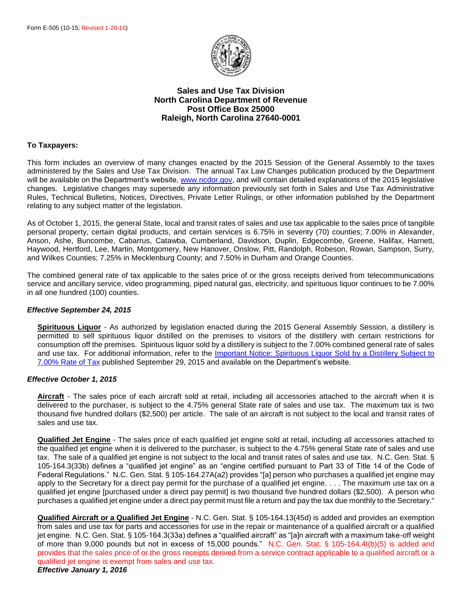

# **Sales and Use Tax Division North Carolina Department of Revenue Post Office Box 25000 Raleigh, North Carolina 27640-0001**

## **To Taxpayers:**

This form includes an overview of many changes enacted by the 2015 Session of the General Assembly to the taxes administered by the Sales and Use Tax Division. The annual Tax Law Changes publication produced by the Department will be available on the Department's website, [www.ncdor.gov,](https://www.ncdor.gov/) and will contain detailed explanations of the 2015 legislative changes. Legislative changes may supersede any information previously set forth in Sales and Use Tax Administrative Rules, Technical Bulletins, Notices, Directives, Private Letter Rulings, or other information published by the Department relating to any subject matter of the legislation.

As of October 1, 2015, the general State, local and transit rates of sales and use tax applicable to the sales price of tangible personal property, certain digital products, and certain services is 6.75% in seventy (70) counties; 7.00% in Alexander, Anson, Ashe, Buncombe, Cabarrus, Catawba, Cumberland, Davidson, Duplin, Edgecombe, Greene, Halifax, Harnett, Haywood, Hertford, Lee, Martin, Montgomery, New Hanover, Onslow, Pitt, Randolph, Robeson, Rowan, Sampson, Surry, and Wilkes Counties; 7.25% in Mecklenburg County; and 7.50% in Durham and Orange Counties.

The combined general rate of tax applicable to the sales price of or the gross receipts derived from telecommunications service and ancillary service, video programming, piped natural gas, electricity, and spirituous liquor continues to be 7.00% in all one hundred (100) counties.

### *Effective September 24, 2015*

**Spirituous Liquor** - As authorized by legislation enacted during the 2015 General Assembly Session, a distillery is permitted to sell spirituous liquor distilled on the premises to visitors of the distillery with certain restrictions for consumption off the premises. Spirituous liquor sold by a distillery is subject to the 7.00% combined general rate of sales and use tax. For additional information, refer to the [Important Notice: Spirituous Liquor Sold by a Distillery Subject to](https://www.ncdor.gov/documents/important-notice-spirituous-liquor-sold-distillery-subject-700-rate-tax)  [7.00% Rate of Tax](https://www.ncdor.gov/documents/important-notice-spirituous-liquor-sold-distillery-subject-700-rate-tax) published September 29, 2015 and available on the Department's website.

### *Effective October 1, 2015*

**Aircraft** - The sales price of each aircraft sold at retail, including all accessories attached to the aircraft when it is delivered to the purchaser, is subject to the 4.75% general State rate of sales and use tax. The maximum tax is two thousand five hundred dollars (\$2,500) per article. The sale of an aircraft is not subject to the local and transit rates of sales and use tax.

**Qualified Jet Engine** - The sales price of each qualified jet engine sold at retail, including all accessories attached to the qualified jet engine when it is delivered to the purchaser, is subject to the 4.75% general State rate of sales and use tax. The sale of a qualified jet engine is not subject to the local and transit rates of sales and use tax. N.C. Gen. Stat. § 105-164.3(33b) defines a "qualified jet engine" as an "engine certified pursuant to Part 33 of Title 14 of the Code of Federal Regulations." N.C. Gen. Stat. § 105-164.27A(a2) provides "[a] person who purchases a qualified jet engine may apply to the Secretary for a direct pay permit for the purchase of a qualified jet engine. . . . The maximum use tax on a qualified jet engine [purchased under a direct pay permit] is two thousand five hundred dollars (\$2,500). A person who purchases a qualified jet engine under a direct pay permit must file a return and pay the tax due monthly to the Secretary."

**Qualified Aircraft or a Qualified Jet Engine** - N.C. Gen. Stat. § 105-164.13(45d) is added and provides an exemption from sales and use tax for parts and accessories for use in the repair or maintenance of a qualified aircraft or a qualified jet engine. N.C. Gen. Stat. § 105-164.3(33a) defines a "qualified aircraft" as "[a]n aircraft with a maximum take-off weight of more than 9,000 pounds but not in excess of 15,000 pounds." N.C. Gen. Stat. § 105-164.4I(b)(5) is added and provides that the sales price of or the gross receipts derived from a service contract applicable to a qualified aircraft or a qualified jet engine is exempt from sales and use tax. *Effective January 1, 2016*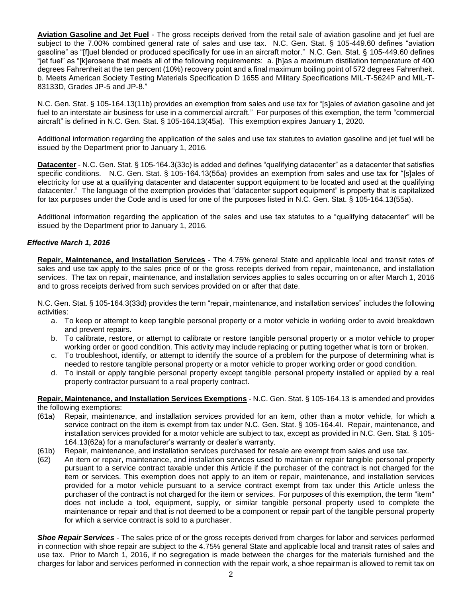**Aviation Gasoline and Jet Fuel** - The gross receipts derived from the retail sale of aviation gasoline and jet fuel are subject to the 7.00% combined general rate of sales and use tax. N.C. Gen. Stat. § 105-449.60 defines "aviation gasoline" as "[f]uel blended or produced specifically for use in an aircraft motor." N.C. Gen. Stat. § 105-449.60 defines "jet fuel" as "[k]erosene that meets all of the following requirements: a. [h]as a maximum distillation temperature of 400 degrees Fahrenheit at the ten percent (10%) recovery point and a final maximum boiling point of 572 degrees Fahrenheit. b. Meets American Society Testing Materials Specification D 1655 and Military Specifications MIL-T-5624P and MIL-T-83133D, Grades JP-5 and JP-8."

N.C. Gen. Stat. § 105-164.13(11b) provides an exemption from sales and use tax for "[s]ales of aviation gasoline and jet fuel to an interstate air business for use in a commercial aircraft." For purposes of this exemption, the term "commercial aircraft" is defined in N.C. Gen. Stat. § 105-164.13(45a). This exemption expires January 1, 2020.

Additional information regarding the application of the sales and use tax statutes to aviation gasoline and jet fuel will be issued by the Department prior to January 1, 2016.

**Datacenter** - N.C. Gen. Stat. § 105-164.3(33c) is added and defines "qualifying datacenter" as a datacenter that satisfies specific conditions. N.C. Gen. Stat. § 105-164.13(55a) provides an exemption from sales and use tax for "[s]ales of electricity for use at a qualifying datacenter and datacenter support equipment to be located and used at the qualifying datacenter." The language of the exemption provides that "datacenter support equipment" is property that is capitalized for tax purposes under the Code and is used for one of the purposes listed in N.C. Gen. Stat. § 105-164.13(55a).

Additional information regarding the application of the sales and use tax statutes to a "qualifying datacenter" will be issued by the Department prior to January 1, 2016.

### *Effective March 1, 2016*

**Repair, Maintenance, and Installation Services** - The 4.75% general State and applicable local and transit rates of sales and use tax apply to the sales price of or the gross receipts derived from repair, maintenance, and installation services. The tax on repair, maintenance, and installation services applies to sales occurring on or after March 1, 2016 and to gross receipts derived from such services provided on or after that date.

N.C. Gen. Stat. § 105-164.3(33d) provides the term "repair, maintenance, and installation services" includes the following activities:

- a. To keep or attempt to keep tangible personal property or a motor vehicle in working order to avoid breakdown and prevent repairs.
- b. To calibrate, restore, or attempt to calibrate or restore tangible personal property or a motor vehicle to proper working order or good condition. This activity may include replacing or putting together what is torn or broken.
- c. To troubleshoot, identify, or attempt to identify the source of a problem for the purpose of determining what is needed to restore tangible personal property or a motor vehicle to proper working order or good condition.
- d. To install or apply tangible personal property except tangible personal property installed or applied by a real property contractor pursuant to a real property contract.

**Repair, Maintenance, and Installation Services Exemptions** *-* N.C. Gen. Stat. § 105-164.13 is amended and provides the following exemptions:

- (61a) Repair, maintenance, and installation services provided for an item, other than a motor vehicle, for which a service contract on the item is exempt from tax under N.C. Gen. Stat. § 105-164.4I. Repair, maintenance, and installation services provided for a motor vehicle are subject to tax, except as provided in N.C. Gen. Stat. § 105- 164.13(62a) for a manufacturer's warranty or dealer's warranty.
- (61b) Repair, maintenance, and installation services purchased for resale are exempt from sales and use tax.
- (62) An item or repair, maintenance, and installation services used to maintain or repair tangible personal property pursuant to a service contract taxable under this Article if the purchaser of the contract is not charged for the item or services. This exemption does not apply to an item or repair, maintenance, and installation services provided for a motor vehicle pursuant to a service contract exempt from tax under this Article unless the purchaser of the contract is not charged for the item or services. For purposes of this exemption, the term "item" does not include a tool, equipment, supply, or similar tangible personal property used to complete the maintenance or repair and that is not deemed to be a component or repair part of the tangible personal property for which a service contract is sold to a purchaser.

*Shoe Repair Services* - The sales price of or the gross receipts derived from charges for labor and services performed in connection with shoe repair are subject to the 4.75% general State and applicable local and transit rates of sales and use tax. Prior to March 1, 2016, if no segregation is made between the charges for the materials furnished and the charges for labor and services performed in connection with the repair work, a shoe repairman is allowed to remit tax on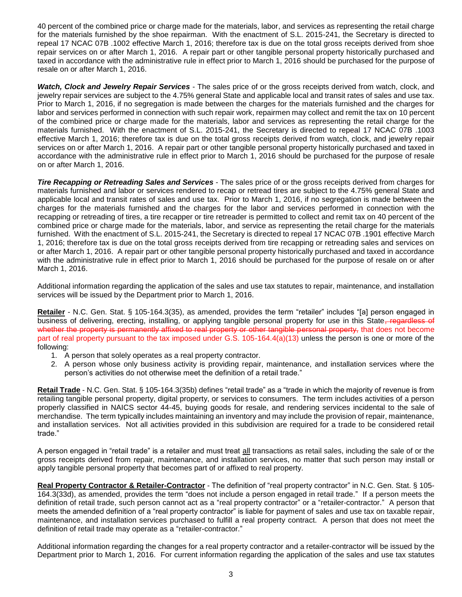40 percent of the combined price or charge made for the materials, labor, and services as representing the retail charge for the materials furnished by the shoe repairman. With the enactment of S.L. 2015-241, the Secretary is directed to repeal 17 NCAC 07B .1002 effective March 1, 2016; therefore tax is due on the total gross receipts derived from shoe repair services on or after March 1, 2016. A repair part or other tangible personal property historically purchased and taxed in accordance with the administrative rule in effect prior to March 1, 2016 should be purchased for the purpose of resale on or after March 1, 2016.

*Watch, Clock and Jewelry Repair Services* - The sales price of or the gross receipts derived from watch, clock, and jewelry repair services are subject to the 4.75% general State and applicable local and transit rates of sales and use tax. Prior to March 1, 2016, if no segregation is made between the charges for the materials furnished and the charges for labor and services performed in connection with such repair work, repairmen may collect and remit the tax on 10 percent of the combined price or charge made for the materials, labor and services as representing the retail charge for the materials furnished. With the enactment of S.L. 2015-241, the Secretary is directed to repeal 17 NCAC 07B .1003 effective March 1, 2016; therefore tax is due on the total gross receipts derived from watch, clock, and jewelry repair services on or after March 1, 2016. A repair part or other tangible personal property historically purchased and taxed in accordance with the administrative rule in effect prior to March 1, 2016 should be purchased for the purpose of resale on or after March 1, 2016.

*Tire Recapping or Retreading Sales and Services* - The sales price of or the gross receipts derived from charges for materials furnished and labor or services rendered to recap or retread tires are subject to the 4.75% general State and applicable local and transit rates of sales and use tax. Prior to March 1, 2016, if no segregation is made between the charges for the materials furnished and the charges for the labor and services performed in connection with the recapping or retreading of tires, a tire recapper or tire retreader is permitted to collect and remit tax on 40 percent of the combined price or charge made for the materials, labor, and service as representing the retail charge for the materials furnished. With the enactment of S.L. 2015-241, the Secretary is directed to repeal 17 NCAC 07B .1901 effective March 1, 2016; therefore tax is due on the total gross receipts derived from tire recapping or retreading sales and services on or after March 1, 2016. A repair part or other tangible personal property historically purchased and taxed in accordance with the administrative rule in effect prior to March 1, 2016 should be purchased for the purpose of resale on or after March 1, 2016.

Additional information regarding the application of the sales and use tax statutes to repair, maintenance, and installation services will be issued by the Department prior to March 1, 2016.

**Retailer** - N.C. Gen. Stat. § 105-164.3(35), as amended, provides the term "retailer" includes "[a] person engaged in business of delivering, erecting, installing, or applying tangible personal property for use in this State, regardless of whether the property is permanently affixed to real property or other tangible personal property, that does not become part of real property pursuant to the tax imposed under G.S. 105-164.4(a)(13) unless the person is one or more of the following:

- 1. A person that solely operates as a real property contractor.
- 2. A person whose only business activity is providing repair, maintenance, and installation services where the person's activities do not otherwise meet the definition of a retail trade."

**Retail Trade** - N.C. Gen. Stat. § 105-164.3(35b) defines "retail trade" as a "trade in which the majority of revenue is from retailing tangible personal property, digital property, or services to consumers. The term includes activities of a person properly classified in NAICS sector 44-45, buying goods for resale, and rendering services incidental to the sale of merchandise. The term typically includes maintaining an inventory and may include the provision of repair, maintenance, and installation services. Not all activities provided in this subdivision are required for a trade to be considered retail trade."

A person engaged in "retail trade" is a retailer and must treat all transactions as retail sales, including the sale of or the gross receipts derived from repair, maintenance, and installation services, no matter that such person may install or apply tangible personal property that becomes part of or affixed to real property.

**Real Property Contractor & Retailer-Contractor** - The definition of "real property contractor" in N.C. Gen. Stat. § 105- 164.3(33d), as amended, provides the term "does not include a person engaged in retail trade." If a person meets the definition of retail trade, such person cannot act as a "real property contractor" or a "retailer-contractor." A person that meets the amended definition of a "real property contractor" is liable for payment of sales and use tax on taxable repair, maintenance, and installation services purchased to fulfill a real property contract. A person that does not meet the definition of retail trade may operate as a "retailer-contractor."

Additional information regarding the changes for a real property contractor and a retailer-contractor will be issued by the Department prior to March 1, 2016. For current information regarding the application of the sales and use tax statutes